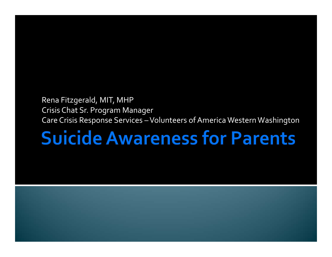#### Rena Fitzgerald, MIT, MHP Crisis Chat Sr. Program Manager Care Crisis Response Services – Volunteers of America Western Washington

# **Suicide Awareness for Parents**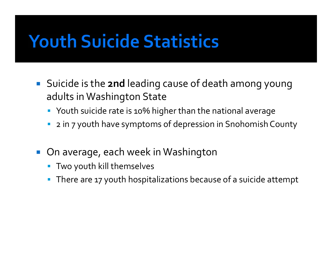## **Youth Suicide Statistics**

- Suicide is the **2nd** leading cause of death among young adults in Washington State
	- Youth suicide rate is 10% higher than the national average
	- 2 in <sup>7</sup> youth have symptoms of depression in Snohomish County
- $\mathbb{R}^3$  On average, each week in Washington
	- Two youth kill themselves
	- There are <sup>17</sup> youth hospitalizations because of <sup>a</sup> suicide attempt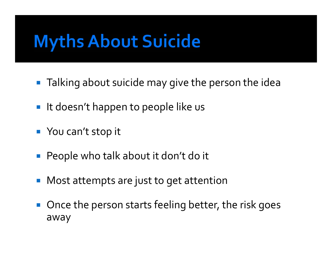# **Myths About Suicide**

- **Talking about suicide may give the person the idea**
- $\blacksquare$  It doesn't happen to people like us
- **The You can't stop it**
- People who talk about it don't do it
- **Most attempts are just to get attention**
- **Once the person starts feeling better, the risk goes** away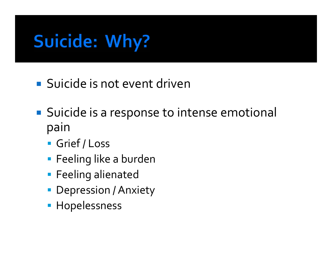# **Suicide: Why?**

- Suicide is not event driven
- **Suicide is a response to intense emotional** pain
	- **Grief / Loss**
	- Feeling like <sup>a</sup> burden
	- **Feeling alienated**
	- Depression / Anxiety
	- **Hopelessness**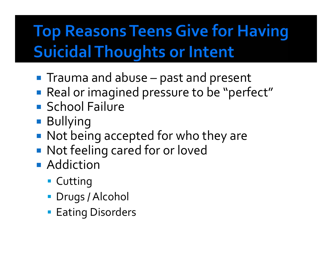## **Top Reasons Teens Give for Having Suicidal Thoughts or Intent**

- **The Trauma and abuse – past and present**
- **Real or imagined pressure to be "perfect"**
- **School Failure**
- **Bullying**
- **Not being accepted for who they are**
- **Not feeling cared for or loved**
- **Addiction** 
	- **Cutting**
	- Drugs /Alcohol
	- **Eating Disorders**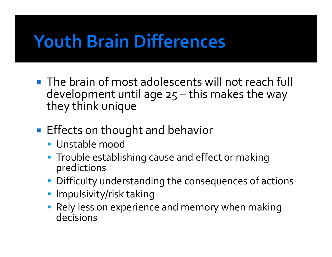# **Youth Brain Differences**

- **The brain of most adolescents will not reach full** development until age 25 – this makes the way they think unique
- **Effects on thought and behavior** 
	- Unstable mood
	- **Trouble establishing cause and effect or making** predictions
	- Difficulty understanding the consequences of actions
	- **Impulsivity/risk taking**
	- Rely less on experience and memory when making decisions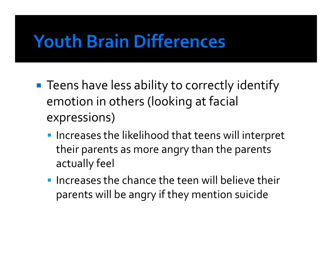# **Youth Brain Differences**

- **Teens have less ability to correctly identify** emotion in others (looking at facial expressions)
	- **Increases the likelihood that teens will interpret** their parents as more angry than the parents actually feel
	- **Increases the chance the teen will believe their** parents will be angry if they mention suicide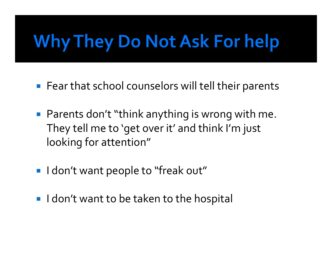# Why They Do Not Ask For help

- **Fear that school counselors will tell their parents**
- **Parents don't "think anything is wrong with me.** They tell me to 'get over it' and think I'm just looking for attention"
- **I** I don't want people to "freak out"
- **I** I don't want to be taken to the hospital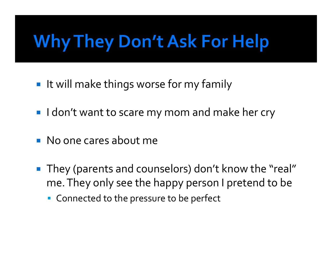# **Why They Don't Ask For Help**

- **If will make things worse for my family**
- **I** don't want to scare my mom and make her cry
- **No one cares about me**
- They (parents and counselors) don't know the "real" me.They only see the happy person <sup>I</sup> pretend to be
	- **Connected to the pressure to be perfect**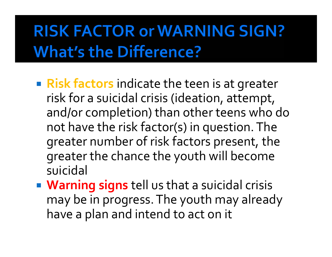### **RISK FACTOR or WARNING SIGN? What's the Difference?**

- **Risk factors** indicate the teen is at greater risk for a suicidal crisis (ideation, attempt, and/or completion) than other teens who do not have the risk factor(s) in question. The greater number of risk factors present, the greater the chance the youth will become suicidal
- **Warning signs** tell us that a suicidal crisis may be in progress. The youth may already have a plan and intend to act on it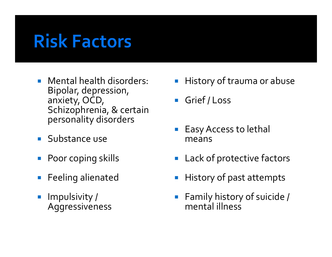## **Risk Factors**

- Mental health disorders: Bipolar, depression, anxiety, OCD, Schizophrenia, & certain personality disorders
- **Substance use**
- p. Poor coping skills
- $\mathcal{L}_{\mathcal{A}}$ Feeling alienated
- p. Impulsivity / Aggressiveness
- **History of trauma or abuse**
- $\mathcal{L}_{\mathcal{A}}$ Grief / Loss
- $\mathbb{R}^2$  EasyAccess to lethal means
- **Lack of protective factors**
- p. History of pas<sup>t</sup> attempts
- **Family history of suicide /** mental illness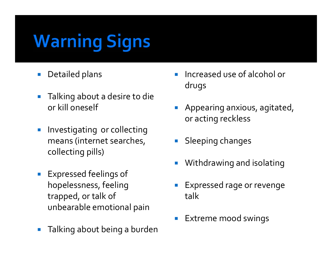# **Warning Signs**

- $\mathcal{C}^{\mathcal{A}}$ Detailed plans
- $\Box$  Talking about a desire to die or kill oneself
- $\mathbb{R}^3$  Investigating or collecting means (internet searches, collecting pills)
- $\mathcal{L}_{\mathcal{A}}$  Expressed feelings of hopelessness, feeling trapped, or talk of unbearable emotional pain
- $\mathcal{C}^{\mathcal{A}}$ Talking about being a burden
- Increased use of alcohol or drugs
- **Appearing anxious, agitated,** or acting reckless
- $\mathcal{L}_{\mathcal{A}}$ Sleeping changes
- E Withdrawing and isolating
- Expressed rage or revenge talk
- E Extreme mood swings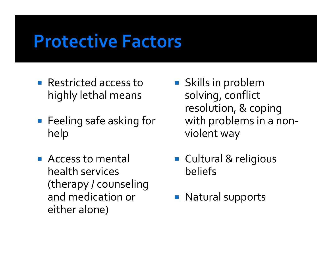### **Protective Factors**

- **Restricted access to** highly lethal means
- **Feeling safe asking for** help
- **Access to mental** health services (therapy / counseling and medication or either alone)
- **Skills in problem** solving, conflict resolution, & coping with problems in <sup>a</sup> non‐ violent way
- Cultural & religious beliefs
- **Natural supports**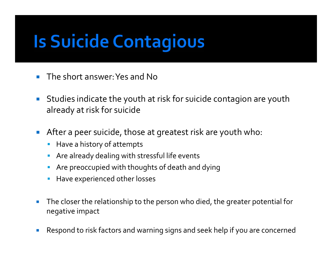# **Is Suicide Contagious**

- $\sim$ The short answer:Yes and No
- $\mathcal{L}_{\mathcal{A}}$  Studies indicate the youth at risk for suicide contagion are youth already at risk for suicide
- $\mathcal{L}_{\mathcal{A}}$  After <sup>a</sup> peer suicide, those at greatest risk are youth who:
	- **Have a history of attempts**
	- **Are already dealing with stressful life events**
	- $\mathcal{L}_{\mathcal{A}}$ Are preoccupied with thoughts of death and dying
	- **H**ave experienced other losses
- $\mathcal{C}$  The closer the relationship to the person who died, the greater potential for negative impact
- $\Box$ Respond to risk factors and warning signs and seek help if you are concerned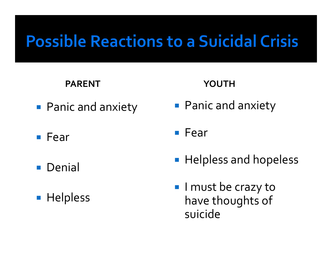### **Possible Reactions to a Suicidal Crisis**

#### **PARENT**

- **Panic and anxiety**
- $\blacksquare$  Fear
- **Denial**
- **Helpless**

#### **YOUTH**

**Panic and anxiety** 

■ Fear

- **Helpless and hopeless**
- **I** I must be crazy to have thoughts of suicide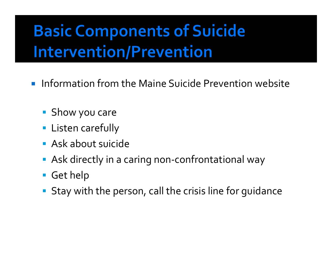## **Basic Components of Suicide Intervention/Prevention**

- **Information from the Maine Suicide Prevention website** 
	- **Show you care**
	- **E** Listen carefully
	- Ask about suicide
	- Ask directly in a caring non-confrontational way
	- Get help
	- **Stay with the person, call the crisis line for guidance**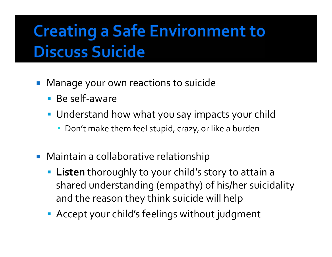## **Creating a Safe Environment to Discuss Suicide**

- $\mathbb{R}^3$  Manage your own reactions to suicide
	- Be self-aware
	- Understand how what you say impacts your child
		- Don't make them feel stupid, crazy, or like <sup>a</sup> burden
- **Maintain a collaborative relationship** 
	- **Listen** thoroughly to your child's story to attain <sup>a</sup> shared understanding (empathy) of his/her suicidality and the reason they think suicide will help
	- Accept your child's feelings without judgment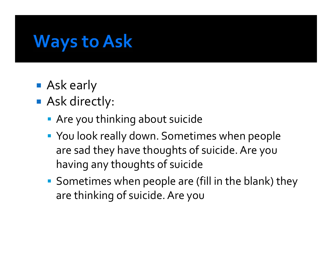## **Ways to Ask**

- **Ask early**
- Ask directly:
	- **Are you thinking about suicide**
	- You look really down. Sometimes when people are sad they have thoughts of suicide.Are you having any thoughts of suicide
	- **Sometimes when people are (fill in the blank) they** are thinking of suicide.Are you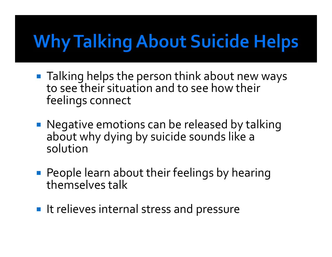# **Why Talking About Suicide Helps**

- Talking helps the person think about new ways to see their situation and to see how their feelings connect
- Negative emotions can be released by talking about why dying by suicide sounds like <sup>a</sup> solution
- **People learn about their feelings by hearing** themselves talk
- **IF It relieves internal stress and pressure**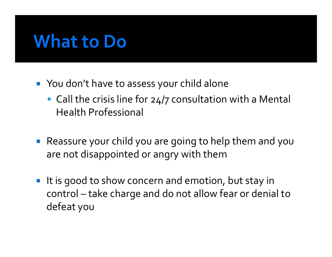#### **What to Do**

- You don't have to assess your child alone
	- **Call the crisis line for 24/7 consultation with a Mental** Health Professional
- Reassure your child you are going to help them and you are not disappointed or angry with them
- $\overline{\phantom{a}}$ It is good to show concern and emotion, but stay in control – take charge and do not allow fear or denial to defeat you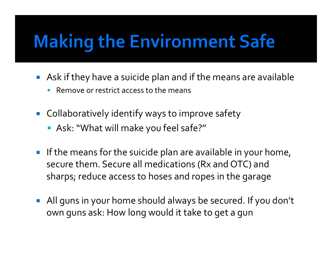# **Making the Environment Safe**

- Ask if they have <sup>a</sup> suicide plan and if the means are available
	- П **Remove or restrict access to the means**
- **Collaboratively identify ways to improve safety** 
	- Ask: "What will make you feel safe?"
- **If the means for the suicide plan are available in your home,** secure them. Secure all medications (Rx and OTC) and sharps; reduce access to hoses and ropes in the garage
- $\mathcal{L}_{\mathcal{A}}$  All guns in your home should always be secured. If you don't own guns ask: How long would it take to ge<sup>t</sup> <sup>a</sup> gun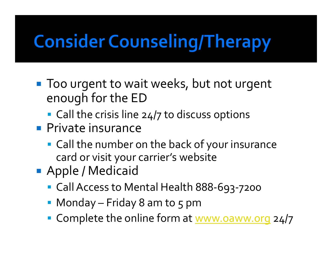# **Consider Counseling/Therapy**

- **Too urgent to wait weeks, but not urgent** enough for the ED
	- **Call the crisis line 24/7 to discuss options**
- **Private insurance** 
	- Call the number on the back of your insurance card or visit your carrier's website
- **Apple / Medicaid** 
	- Call Access to Mental Health 888-693-7200
	- Monday Friday 8 am to 5 pm
	- Complete the online form at www.oaww.org 24/7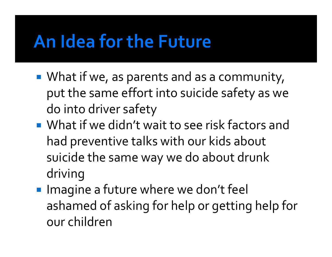## An Idea for the Future

- **What if we, as parents and as a community,** pu<sup>t</sup> the same effort into suicide safety as we do into driver safety
- What if we didn't wait to see risk factors and had preventive talks with our kids about suicide the same way we do about drunk driving
- **Imagine a future where we don't feel** ashamed of asking for help or getting help for our children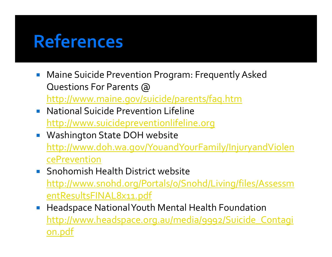## **References**

- $\mathcal{L}_{\mathcal{A}}$  Maine Suicide Prevention Program: Frequently Asked Questions For Parents @ http://www.maine.gov/suicide/parents/faq.htm
- **National Suicide Prevention Lifeline** http://www.suicidepreventionlifeline.org
- **Washington State DOH website** http://www.doh.wa.gov/YouandYourFamily/InjuryandViolen cePrevention
- **Snohomish Health District website** http://www.snohd.org/Portals/0/Snohd/Living/files/Assessm entResultsFINAL8x11.pdf
- $\mathcal{L}_{\mathcal{A}}$  Headspace NationalYouth Mental Health Foundation http://www.headspace.org.au/media/9992/Suicide\_Contagi <u>on.pdf</u>